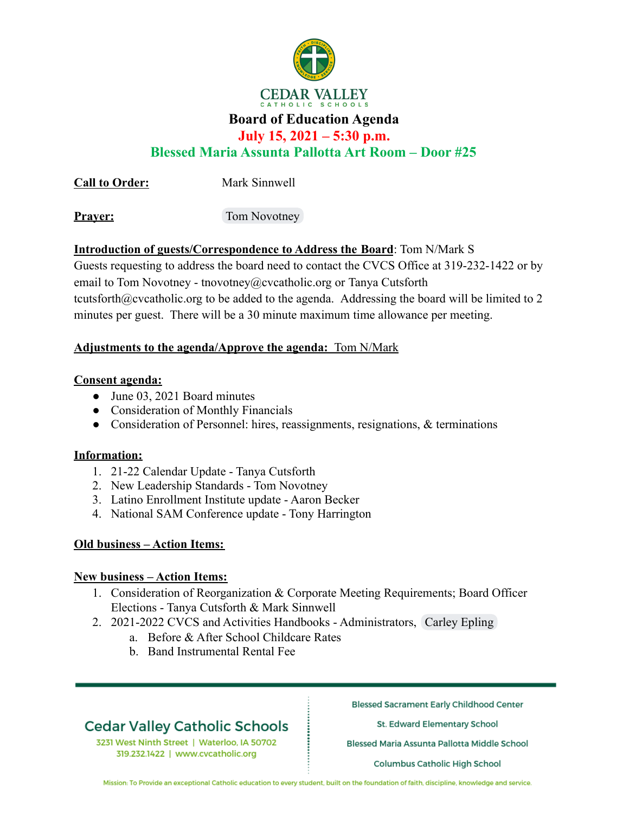

## **Board of Education Agenda**

## **July 15, 2021 – 5:30 p.m.**

## **Blessed Maria Assunta Pallotta Art Room – Door #25**

**Call to Order:** Mark Sinnwell

**Prayer:** Tom Novotney

## **Introduction of guests/Correspondence to Address the Board**: Tom N/Mark S

Guests requesting to address the board need to contact the CVCS Office at 319-232-1422 or by email to Tom Novotney - tnovotney@cvcatholic.org or Tanya Cutsforth tcutsforth@cvcatholic.org to be added to the agenda. Addressing the board will be limited to 2 minutes per guest. There will be a 30 minute maximum time allowance per meeting.

## **Adjustments to the agenda/Approve the agenda:** Tom N/Mark

### **Consent agenda:**

- June 03, 2021 Board minutes
- Consideration of Monthly Financials
- Consideration of Personnel: hires, reassignments, resignations, & terminations

### **Information:**

- 1. 21-22 Calendar Update Tanya Cutsforth
- 2. New Leadership Standards Tom Novotney
- 3. Latino Enrollment Institute update Aaron Becker
- 4. National SAM Conference update Tony Harrington

### **Old business – Action Items:**

### **New business – Action Items:**

- 1. Consideration of Reorganization & Corporate Meeting Requirements; Board Officer Elections - Tanya Cutsforth & Mark Sinnwell
- 2. 2021-2022 CVCS and Activities Handbooks Administrators, Carley Epling
	- a. Before & After School Childcare Rates
	- b. Band Instrumental Rental Fee

# **Cedar Valley Catholic Schools**

3231 West Ninth Street | Waterloo, IA 50702 319.232.1422 | www.cvcatholic.org

**Blessed Sacrament Early Childhood Center** 

St. Edward Elementary School

Blessed Maria Assunta Pallotta Middle School

Columbus Catholic High School

Mission: To Provide an exceptional Catholic education to every student, built on the foundation of faith, discipline, knowledge and service.